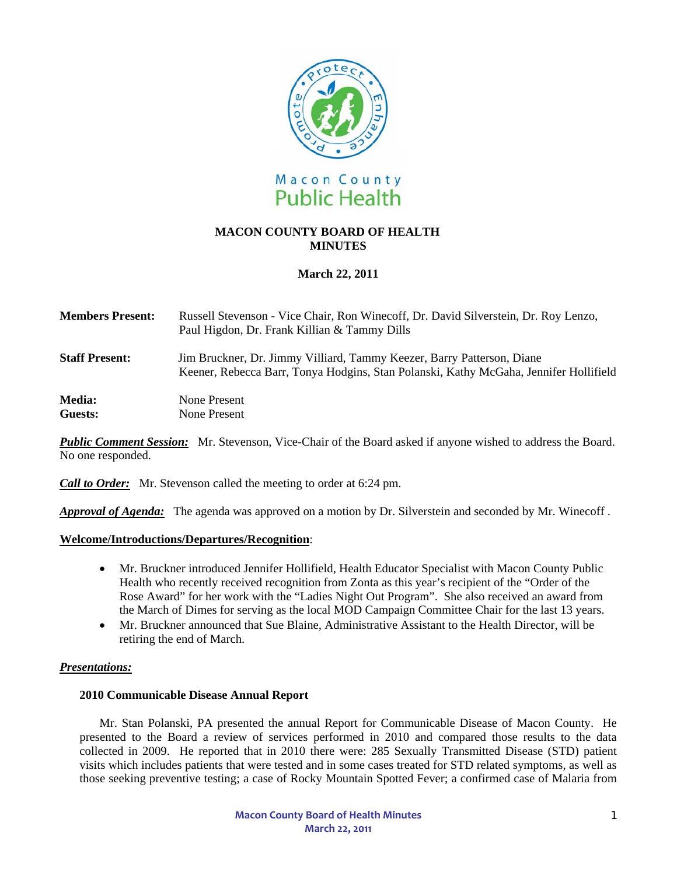

# **MACON COUNTY BOARD OF HEALTH MINUTES**

# **March 22, 2011**

| <b>Members Present:</b> | Russell Stevenson - Vice Chair, Ron Winecoff, Dr. David Silverstein, Dr. Roy Lenzo,<br>Paul Higdon, Dr. Frank Killian & Tammy Dills                             |
|-------------------------|-----------------------------------------------------------------------------------------------------------------------------------------------------------------|
| <b>Staff Present:</b>   | Jim Bruckner, Dr. Jimmy Villiard, Tammy Keezer, Barry Patterson, Diane<br>Keener, Rebecca Barr, Tonya Hodgins, Stan Polanski, Kathy McGaha, Jennifer Hollifield |
| <b>Media:</b>           | None Present                                                                                                                                                    |
| Guests:                 | None Present                                                                                                                                                    |

*Public Comment Session:* Mr. Stevenson, Vice-Chair of the Board asked if anyone wished to address the Board. No one responded.

*Call to Order:*Mr. Stevenson called the meeting to order at 6:24 pm.

*Approval of Agenda:* The agenda was approved on a motion by Dr. Silverstein and seconded by Mr. Winecoff .

### **Welcome/Introductions/Departures/Recognition**:

- Mr. Bruckner introduced Jennifer Hollifield, Health Educator Specialist with Macon County Public Health who recently received recognition from Zonta as this year's recipient of the "Order of the Rose Award" for her work with the "Ladies Night Out Program". She also received an award from the March of Dimes for serving as the local MOD Campaign Committee Chair for the last 13 years.
- Mr. Bruckner announced that Sue Blaine, Administrative Assistant to the Health Director, will be retiring the end of March.

### *Presentations:*

### **2010 Communicable Disease Annual Report**

Mr. Stan Polanski, PA presented the annual Report for Communicable Disease of Macon County. He presented to the Board a review of services performed in 2010 and compared those results to the data collected in 2009. He reported that in 2010 there were: 285 Sexually Transmitted Disease (STD) patient visits which includes patients that were tested and in some cases treated for STD related symptoms, as well as those seeking preventive testing; a case of Rocky Mountain Spotted Fever; a confirmed case of Malaria from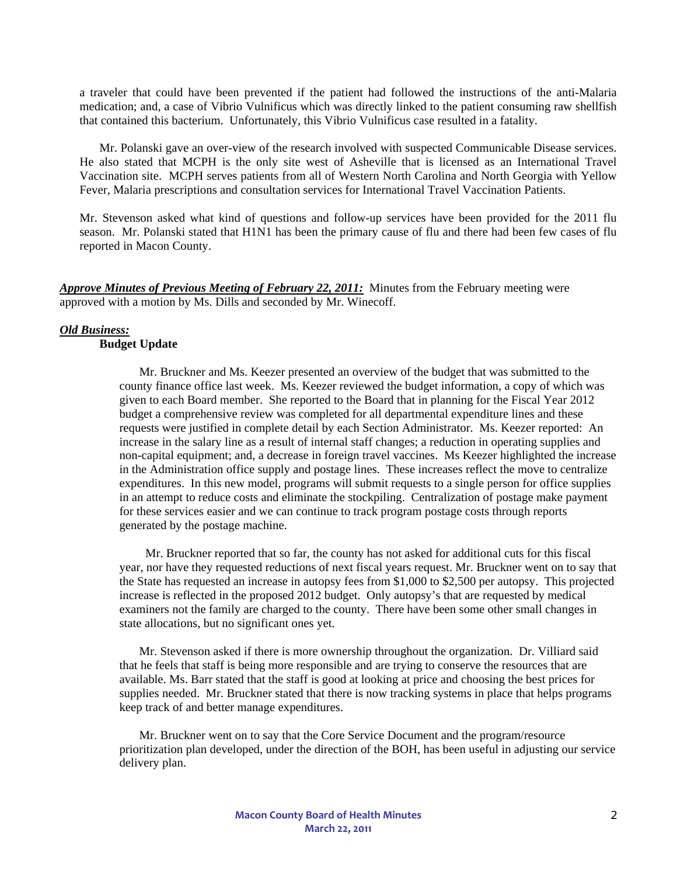a traveler that could have been prevented if the patient had followed the instructions of the anti-Malaria medication; and, a case of Vibrio Vulnificus which was directly linked to the patient consuming raw shellfish that contained this bacterium. Unfortunately, this Vibrio Vulnificus case resulted in a fatality.

 Mr. Polanski gave an over-view of the research involved with suspected Communicable Disease services. He also stated that MCPH is the only site west of Asheville that is licensed as an International Travel Vaccination site. MCPH serves patients from all of Western North Carolina and North Georgia with Yellow Fever, Malaria prescriptions and consultation services for International Travel Vaccination Patients.

Mr. Stevenson asked what kind of questions and follow-up services have been provided for the 2011 flu season. Mr. Polanski stated that H1N1 has been the primary cause of flu and there had been few cases of flu reported in Macon County.

*Approve Minutes of Previous Meeting of February 22, 2011:* Minutes from the February meeting were approved with a motion by Ms. Dills and seconded by Mr. Winecoff.

## *Old Business:*

## **Budget Update**

Mr. Bruckner and Ms. Keezer presented an overview of the budget that was submitted to the county finance office last week. Ms. Keezer reviewed the budget information, a copy of which was given to each Board member. She reported to the Board that in planning for the Fiscal Year 2012 budget a comprehensive review was completed for all departmental expenditure lines and these requests were justified in complete detail by each Section Administrator. Ms. Keezer reported: An increase in the salary line as a result of internal staff changes; a reduction in operating supplies and non-capital equipment; and, a decrease in foreign travel vaccines. Ms Keezer highlighted the increase in the Administration office supply and postage lines. These increases reflect the move to centralize expenditures. In this new model, programs will submit requests to a single person for office supplies in an attempt to reduce costs and eliminate the stockpiling. Centralization of postage make payment for these services easier and we can continue to track program postage costs through reports generated by the postage machine.

 Mr. Bruckner reported that so far, the county has not asked for additional cuts for this fiscal year, nor have they requested reductions of next fiscal years request. Mr. Bruckner went on to say that the State has requested an increase in autopsy fees from \$1,000 to \$2,500 per autopsy. This projected increase is reflected in the proposed 2012 budget. Only autopsy's that are requested by medical examiners not the family are charged to the county. There have been some other small changes in state allocations, but no significant ones yet.

Mr. Stevenson asked if there is more ownership throughout the organization. Dr. Villiard said that he feels that staff is being more responsible and are trying to conserve the resources that are available. Ms. Barr stated that the staff is good at looking at price and choosing the best prices for supplies needed. Mr. Bruckner stated that there is now tracking systems in place that helps programs keep track of and better manage expenditures.

Mr. Bruckner went on to say that the Core Service Document and the program/resource prioritization plan developed, under the direction of the BOH, has been useful in adjusting our service delivery plan.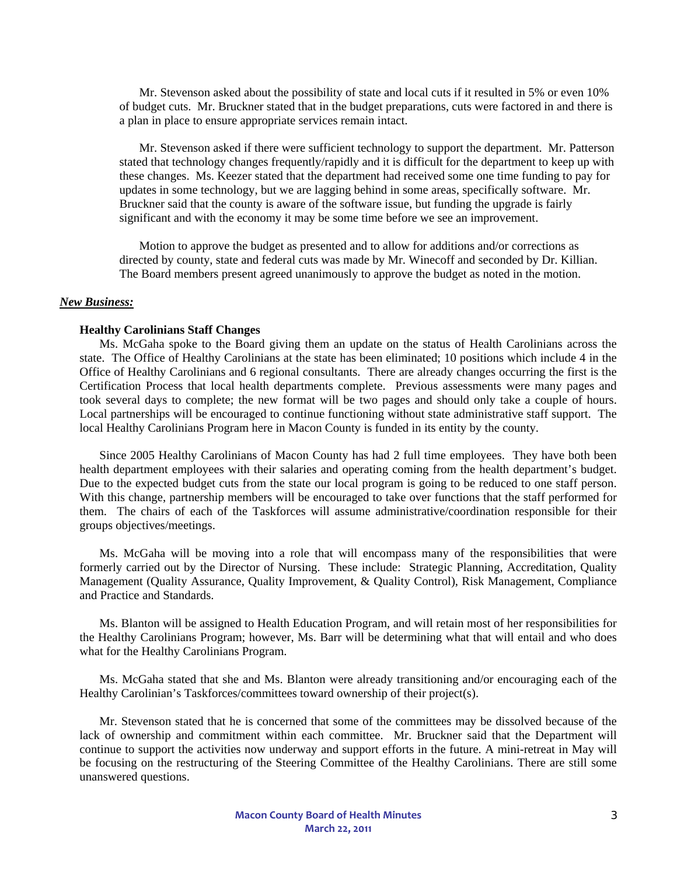Mr. Stevenson asked about the possibility of state and local cuts if it resulted in 5% or even 10% of budget cuts. Mr. Bruckner stated that in the budget preparations, cuts were factored in and there is a plan in place to ensure appropriate services remain intact.

Mr. Stevenson asked if there were sufficient technology to support the department. Mr. Patterson stated that technology changes frequently/rapidly and it is difficult for the department to keep up with these changes. Ms. Keezer stated that the department had received some one time funding to pay for updates in some technology, but we are lagging behind in some areas, specifically software. Mr. Bruckner said that the county is aware of the software issue, but funding the upgrade is fairly significant and with the economy it may be some time before we see an improvement.

Motion to approve the budget as presented and to allow for additions and/or corrections as directed by county, state and federal cuts was made by Mr. Winecoff and seconded by Dr. Killian. The Board members present agreed unanimously to approve the budget as noted in the motion.

#### *New Business:*

#### **Healthy Carolinians Staff Changes**

Ms. McGaha spoke to the Board giving them an update on the status of Health Carolinians across the state. The Office of Healthy Carolinians at the state has been eliminated; 10 positions which include 4 in the Office of Healthy Carolinians and 6 regional consultants. There are already changes occurring the first is the Certification Process that local health departments complete. Previous assessments were many pages and took several days to complete; the new format will be two pages and should only take a couple of hours. Local partnerships will be encouraged to continue functioning without state administrative staff support. The local Healthy Carolinians Program here in Macon County is funded in its entity by the county.

Since 2005 Healthy Carolinians of Macon County has had 2 full time employees. They have both been health department employees with their salaries and operating coming from the health department's budget. Due to the expected budget cuts from the state our local program is going to be reduced to one staff person. With this change, partnership members will be encouraged to take over functions that the staff performed for them. The chairs of each of the Taskforces will assume administrative/coordination responsible for their groups objectives/meetings.

 Ms. McGaha will be moving into a role that will encompass many of the responsibilities that were formerly carried out by the Director of Nursing. These include: Strategic Planning, Accreditation, Quality Management (Quality Assurance, Quality Improvement, & Quality Control), Risk Management, Compliance and Practice and Standards.

 Ms. Blanton will be assigned to Health Education Program, and will retain most of her responsibilities for the Healthy Carolinians Program; however, Ms. Barr will be determining what that will entail and who does what for the Healthy Carolinians Program.

Ms. McGaha stated that she and Ms. Blanton were already transitioning and/or encouraging each of the Healthy Carolinian's Taskforces/committees toward ownership of their project(s).

Mr. Stevenson stated that he is concerned that some of the committees may be dissolved because of the lack of ownership and commitment within each committee. Mr. Bruckner said that the Department will continue to support the activities now underway and support efforts in the future. A mini-retreat in May will be focusing on the restructuring of the Steering Committee of the Healthy Carolinians. There are still some unanswered questions.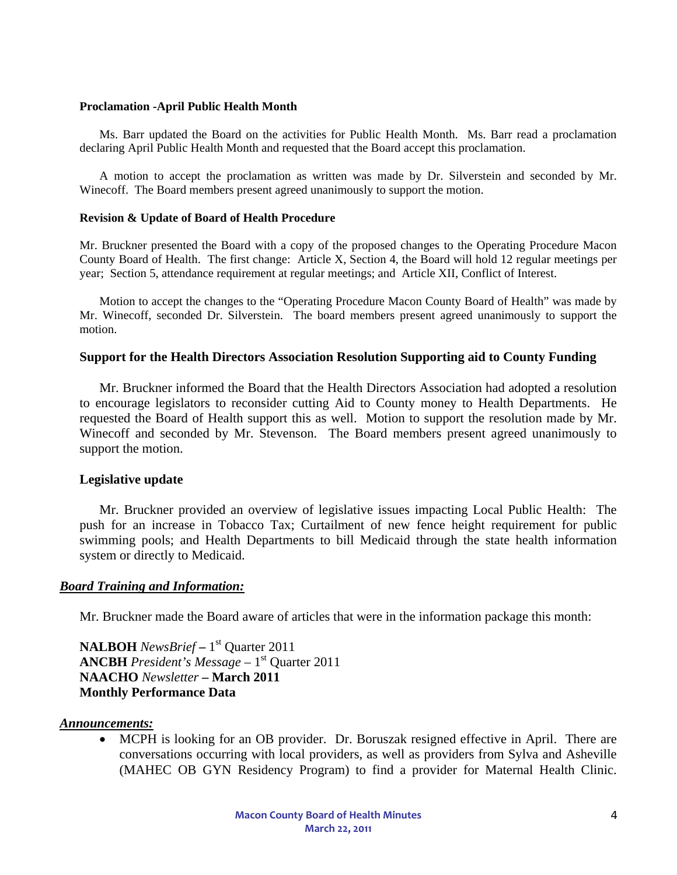## **Proclamation -April Public Health Month**

Ms. Barr updated the Board on the activities for Public Health Month. Ms. Barr read a proclamation declaring April Public Health Month and requested that the Board accept this proclamation.

A motion to accept the proclamation as written was made by Dr. Silverstein and seconded by Mr. Winecoff. The Board members present agreed unanimously to support the motion.

## **Revision & Update of Board of Health Procedure**

Mr. Bruckner presented the Board with a copy of the proposed changes to the Operating Procedure Macon County Board of Health. The first change: Article X, Section 4, the Board will hold 12 regular meetings per year; Section 5, attendance requirement at regular meetings; and Article XII, Conflict of Interest.

Motion to accept the changes to the "Operating Procedure Macon County Board of Health" was made by Mr. Winecoff, seconded Dr. Silverstein. The board members present agreed unanimously to support the motion.

## **Support for the Health Directors Association Resolution Supporting aid to County Funding**

 Mr. Bruckner informed the Board that the Health Directors Association had adopted a resolution to encourage legislators to reconsider cutting Aid to County money to Health Departments. He requested the Board of Health support this as well. Motion to support the resolution made by Mr. Winecoff and seconded by Mr. Stevenson. The Board members present agreed unanimously to support the motion.

## **Legislative update**

Mr. Bruckner provided an overview of legislative issues impacting Local Public Health: The push for an increase in Tobacco Tax; Curtailment of new fence height requirement for public swimming pools; and Health Departments to bill Medicaid through the state health information system or directly to Medicaid.

## *Board Training and Information:*

Mr. Bruckner made the Board aware of articles that were in the information package this month:

**NALBOH** *NewsBrief* **–** 1st Quarter 2011 **ANCBH** President's Message – 1<sup>st</sup> Ouarter 2011 **NAACHO** *Newsletter* **– March 2011 Monthly Performance Data** 

### *Announcements:*

• MCPH is looking for an OB provider. Dr. Boruszak resigned effective in April. There are conversations occurring with local providers, as well as providers from Sylva and Asheville (MAHEC OB GYN Residency Program) to find a provider for Maternal Health Clinic.